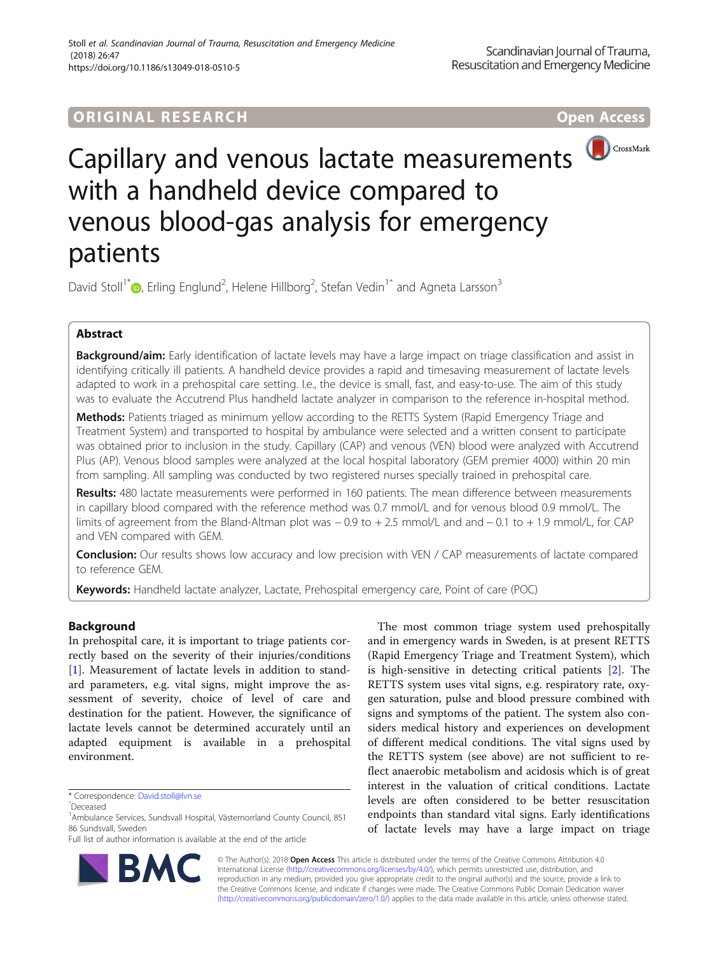# **ORIGINAL RESEARCH CONTROLLER CONTROLLER CONTROLLER CONTROLLER CONTROLLER CONTROLLER CONTROLLER CONTROLLER CONTR**



# Capillary and venous lactate measurements with a handheld device compared to venous blood-gas analysis for emergency patients

David Stoll<sup>1[\\*](http://orcid.org/0000-0001-8568-965X)</sup> <sub>(b</sub>, Erling Englund<sup>2</sup>, Helene Hillborg<sup>2</sup>, Stefan Vedin<sup>1^</sup> and Agneta Larsson<sup>3</sup>

# Abstract

Background/aim: Early identification of lactate levels may have a large impact on triage classification and assist in identifying critically ill patients. A handheld device provides a rapid and timesaving measurement of lactate levels adapted to work in a prehospital care setting. I.e., the device is small, fast, and easy-to-use. The aim of this study was to evaluate the Accutrend Plus handheld lactate analyzer in comparison to the reference in-hospital method.

Methods: Patients triaged as minimum yellow according to the RETTS System (Rapid Emergency Triage and Treatment System) and transported to hospital by ambulance were selected and a written consent to participate was obtained prior to inclusion in the study. Capillary (CAP) and venous (VEN) blood were analyzed with Accutrend Plus (AP). Venous blood samples were analyzed at the local hospital laboratory (GEM premier 4000) within 20 min from sampling. All sampling was conducted by two registered nurses specially trained in prehospital care.

Results: 480 lactate measurements were performed in 160 patients. The mean difference between measurements in capillary blood compared with the reference method was 0.7 mmol/L and for venous blood 0.9 mmol/L. The limits of agreement from the Bland-Altman plot was − 0.9 to + 2.5 mmol/L and and − 0.1 to + 1.9 mmol/L, for CAP and VEN compared with GEM.

**Conclusion:** Our results shows low accuracy and low precision with VEN / CAP measurements of lactate compared to reference GEM.

Keywords: Handheld lactate analyzer, Lactate, Prehospital emergency care, Point of care (POC)

# Background

In prehospital care, it is important to triage patients correctly based on the severity of their injuries/conditions [[1\]](#page-4-0). Measurement of lactate levels in addition to standard parameters, e.g. vital signs, might improve the assessment of severity, choice of level of care and destination for the patient. However, the significance of lactate levels cannot be determined accurately until an adapted equipment is available in a prehospital environment.

B,



© The Author(s). 2018 Open Access This article is distributed under the terms of the Creative Commons Attribution 4.0 International License [\(http://creativecommons.org/licenses/by/4.0/](http://creativecommons.org/licenses/by/4.0/)), which permits unrestricted use, distribution, and reproduction in any medium, provided you give appropriate credit to the original author(s) and the source, provide a link to the Creative Commons license, and indicate if changes were made. The Creative Commons Public Domain Dedication waiver [\(http://creativecommons.org/publicdomain/zero/1.0/](http://creativecommons.org/publicdomain/zero/1.0/)) applies to the data made available in this article, unless otherwise stated.

<sup>\*</sup> Correspondence: [David.stoll@lvn.se](mailto:David.stoll@lvn.se) <sup>ˆ</sup>Deceased

<sup>&</sup>lt;sup>1</sup> Ambulance Services, Sundsvall Hospital, Västernorrland County Council, 851 86 Sundsvall, Sweden

Full list of author information is available at the end of the article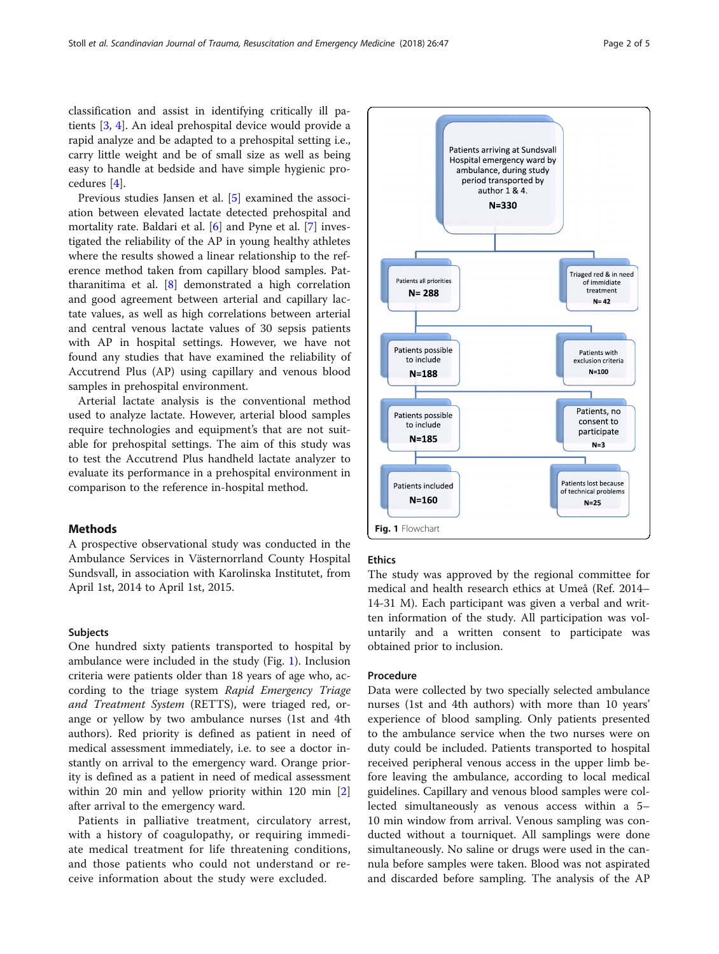classification and assist in identifying critically ill patients [[3](#page-4-0), [4\]](#page-4-0). An ideal prehospital device would provide a rapid analyze and be adapted to a prehospital setting i.e., carry little weight and be of small size as well as being easy to handle at bedside and have simple hygienic procedures [[4\]](#page-4-0).

Previous studies Jansen et al. [[5\]](#page-4-0) examined the association between elevated lactate detected prehospital and mortality rate. Baldari et al. [\[6](#page-4-0)] and Pyne et al. [[7\]](#page-4-0) investigated the reliability of the AP in young healthy athletes where the results showed a linear relationship to the reference method taken from capillary blood samples. Pattharanitima et al. [\[8\]](#page-4-0) demonstrated a high correlation and good agreement between arterial and capillary lactate values, as well as high correlations between arterial and central venous lactate values of 30 sepsis patients with AP in hospital settings. However, we have not found any studies that have examined the reliability of Accutrend Plus (AP) using capillary and venous blood samples in prehospital environment.

Arterial lactate analysis is the conventional method used to analyze lactate. However, arterial blood samples require technologies and equipment's that are not suitable for prehospital settings. The aim of this study was to test the Accutrend Plus handheld lactate analyzer to evaluate its performance in a prehospital environment in comparison to the reference in-hospital method.

# Methods

A prospective observational study was conducted in the Ambulance Services in Västernorrland County Hospital Sundsvall, in association with Karolinska Institutet, from April 1st, 2014 to April 1st, 2015.

## Subjects

One hundred sixty patients transported to hospital by ambulance were included in the study (Fig. 1). Inclusion criteria were patients older than 18 years of age who, according to the triage system Rapid Emergency Triage and Treatment System (RETTS), were triaged red, orange or yellow by two ambulance nurses (1st and 4th authors). Red priority is defined as patient in need of medical assessment immediately, i.e. to see a doctor instantly on arrival to the emergency ward. Orange priority is defined as a patient in need of medical assessment within 20 min and yellow priority within 120 min [\[2](#page-4-0)] after arrival to the emergency ward.

Patients in palliative treatment, circulatory arrest, with a history of coagulopathy, or requiring immediate medical treatment for life threatening conditions, and those patients who could not understand or receive information about the study were excluded.



# **Ethics**

The study was approved by the regional committee for medical and health research ethics at Umeå (Ref. 2014– 14-31 M). Each participant was given a verbal and written information of the study. All participation was voluntarily and a written consent to participate was obtained prior to inclusion.

## Procedure

Data were collected by two specially selected ambulance nurses (1st and 4th authors) with more than 10 years' experience of blood sampling. Only patients presented to the ambulance service when the two nurses were on duty could be included. Patients transported to hospital received peripheral venous access in the upper limb before leaving the ambulance, according to local medical guidelines. Capillary and venous blood samples were collected simultaneously as venous access within a 5– 10 min window from arrival. Venous sampling was conducted without a tourniquet. All samplings were done simultaneously. No saline or drugs were used in the cannula before samples were taken. Blood was not aspirated and discarded before sampling. The analysis of the AP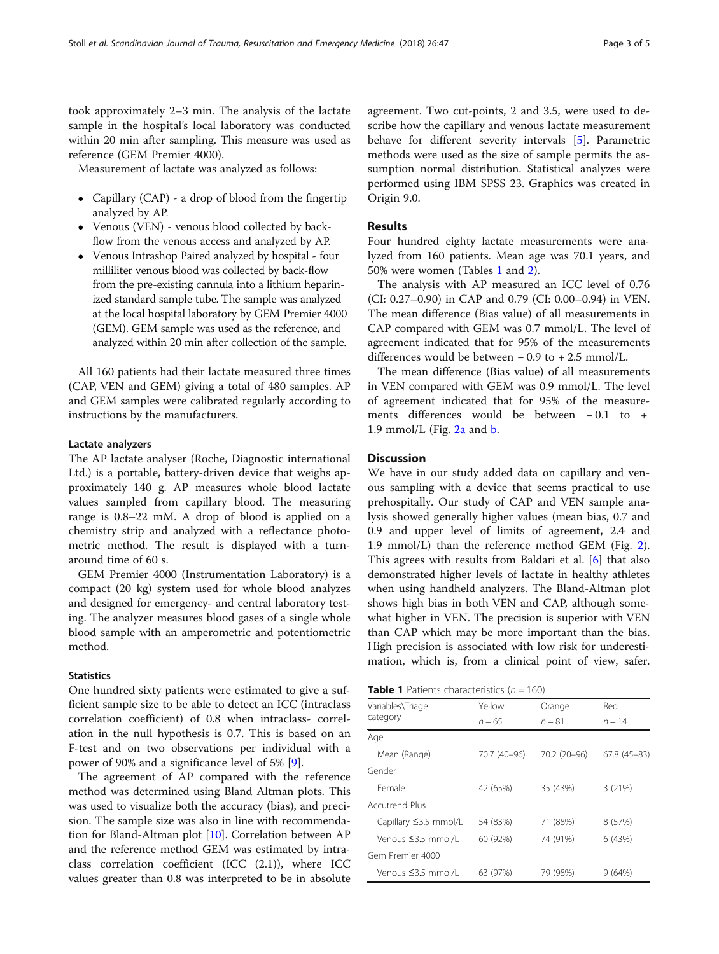<span id="page-2-0"></span>took approximately 2–3 min. The analysis of the lactate sample in the hospital's local laboratory was conducted within 20 min after sampling. This measure was used as reference (GEM Premier 4000).

Measurement of lactate was analyzed as follows:

- Capillary (CAP) a drop of blood from the fingertip analyzed by AP.
- Venous (VEN) venous blood collected by backflow from the venous access and analyzed by AP.
- Venous Intrashop Paired analyzed by hospital four milliliter venous blood was collected by back-flow from the pre-existing cannula into a lithium heparinized standard sample tube. The sample was analyzed at the local hospital laboratory by GEM Premier 4000 (GEM). GEM sample was used as the reference, and analyzed within 20 min after collection of the sample.

All 160 patients had their lactate measured three times (CAP, VEN and GEM) giving a total of 480 samples. AP and GEM samples were calibrated regularly according to instructions by the manufacturers.

# Lactate analyzers

The AP lactate analyser (Roche, Diagnostic international Ltd.) is a portable, battery-driven device that weighs approximately 140 g. AP measures whole blood lactate values sampled from capillary blood. The measuring range is 0.8–22 mM. A drop of blood is applied on a chemistry strip and analyzed with a reflectance photometric method. The result is displayed with a turnaround time of 60 s.

GEM Premier 4000 (Instrumentation Laboratory) is a compact (20 kg) system used for whole blood analyzes and designed for emergency- and central laboratory testing. The analyzer measures blood gases of a single whole blood sample with an amperometric and potentiometric method.

#### **Statistics**

One hundred sixty patients were estimated to give a sufficient sample size to be able to detect an ICC (intraclass correlation coefficient) of 0.8 when intraclass- correlation in the null hypothesis is 0.7. This is based on an F-test and on two observations per individual with a power of 90% and a significance level of 5% [\[9](#page-4-0)].

The agreement of AP compared with the reference method was determined using Bland Altman plots. This was used to visualize both the accuracy (bias), and precision. The sample size was also in line with recommendation for Bland-Altman plot [\[10](#page-4-0)]. Correlation between AP and the reference method GEM was estimated by intraclass correlation coefficient (ICC  $(2.1)$ ), where ICC values greater than 0.8 was interpreted to be in absolute agreement. Two cut-points, 2 and 3.5, were used to describe how the capillary and venous lactate measurement behave for different severity intervals [[5\]](#page-4-0). Parametric methods were used as the size of sample permits the assumption normal distribution. Statistical analyzes were performed using IBM SPSS 23. Graphics was created in Origin 9.0.

# Results

Four hundred eighty lactate measurements were analyzed from 160 patients. Mean age was 70.1 years, and 50% were women (Tables 1 and [2](#page-3-0)).

The analysis with AP measured an ICC level of 0.76 (CI: 0.27–0.90) in CAP and 0.79 (CI: 0.00–0.94) in VEN. The mean difference (Bias value) of all measurements in CAP compared with GEM was 0.7 mmol/L. The level of agreement indicated that for 95% of the measurements differences would be between  $-0.9$  to  $+2.5$  mmol/L.

The mean difference (Bias value) of all measurements in VEN compared with GEM was 0.9 mmol/L. The level of agreement indicated that for 95% of the measurements differences would be between − 0.1 to + 1.9 mmol/L (Fig.  $2a$  and [b.](#page-3-0)

## **Discussion**

We have in our study added data on capillary and venous sampling with a device that seems practical to use prehospitally. Our study of CAP and VEN sample analysis showed generally higher values (mean bias, 0.7 and 0.9 and upper level of limits of agreement, 2.4 and 1.9 mmol/L) than the reference method GEM (Fig. [2](#page-3-0)). This agrees with results from Baldari et al. [\[6](#page-4-0)] that also demonstrated higher levels of lactate in healthy athletes when using handheld analyzers. The Bland-Altman plot shows high bias in both VEN and CAP, although somewhat higher in VEN. The precision is superior with VEN than CAP which may be more important than the bias. High precision is associated with low risk for underestimation, which is, from a clinical point of view, safer.

| <b>Table 1</b> Patients characteristics ( $n = 160$ ) |
|-------------------------------------------------------|
|-------------------------------------------------------|

| Variables\Triage            | Yellow       | Orange       | Red<br>$n = 14$ |  |
|-----------------------------|--------------|--------------|-----------------|--|
| category                    | $n = 65$     | $n = 81$     |                 |  |
| Age                         |              |              |                 |  |
| Mean (Range)                | 70.7 (40-96) | 70.2 (20-96) | $67.8(45-83)$   |  |
| Gender                      |              |              |                 |  |
| Female                      | 42 (65%)     | 35 (43%)     | 3(21%)          |  |
| Accutrend Plus              |              |              |                 |  |
| Capillary $\leq$ 3.5 mmol/L | 54 (83%)     | 71 (88%)     | 8 (57%)         |  |
| Venous ≤3.5 mmol/l          | 60 (92%)     | 74 (91%)     | 6(43%)          |  |
| Gem Premier 4000            |              |              |                 |  |
| Venous ≤3.5 mmol/L          | 63 (97%)     | 79 (98%)     | 9(64%)          |  |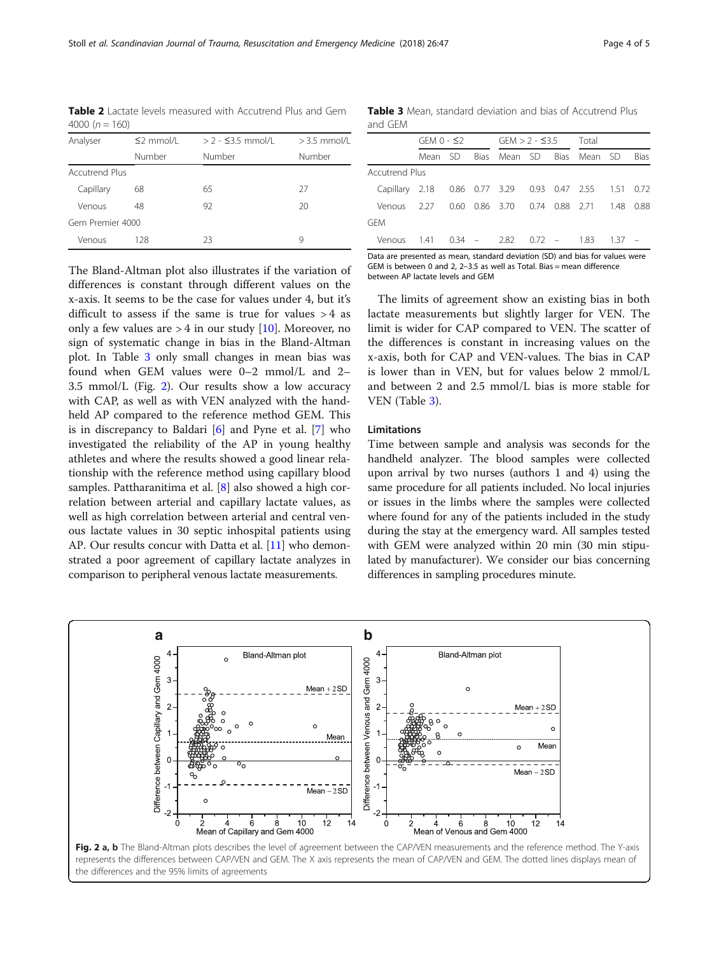<span id="page-3-0"></span>Table 2 Lactate levels measured with Accutrend Plus and Gem 4000 ( $n = 160$ )

| Analyser              | $\leq$ 2 mmol/L | $> 2 - 5.5$ mmol/L | $>$ 3.5 mmol/L<br>Number |  |  |  |  |
|-----------------------|-----------------|--------------------|--------------------------|--|--|--|--|
|                       | Number          | Number             |                          |  |  |  |  |
| <b>Accutrend Plus</b> |                 |                    |                          |  |  |  |  |
| Capillary             | 68              | 65                 | 27                       |  |  |  |  |
| Venous                | 48              | 92                 | 20                       |  |  |  |  |
| Gem Premier 4000      |                 |                    |                          |  |  |  |  |
| Venous<br>128         |                 | 23                 | 9                        |  |  |  |  |

Table 3 Mean, standard deviation and bias of Accutrend Plus and GEM

|                                                                                                                                         | $GFMO - S2$ |  |  | GFM > 2 - ≤3.5 |  |  | Total                                   |  |      |
|-----------------------------------------------------------------------------------------------------------------------------------------|-------------|--|--|----------------|--|--|-----------------------------------------|--|------|
|                                                                                                                                         | Mean SD     |  |  |                |  |  | Bias Mean SD Bias Mean SD               |  | Bias |
| <b>Accutrend Plus</b>                                                                                                                   |             |  |  |                |  |  |                                         |  |      |
| Capillary 2.18 0.86 0.77 3.29 0.93 0.47 2.55 1.51 0.72                                                                                  |             |  |  |                |  |  |                                         |  |      |
| Venous 2.27                                                                                                                             |             |  |  |                |  |  | 0.60 0.86 3.70 0.74 0.88 2.71 1.48 0.88 |  |      |
| GFM                                                                                                                                     |             |  |  |                |  |  |                                         |  |      |
| Venous 1.41 0.34 - 2.82 0.72 - 1.83 1.37 -                                                                                              |             |  |  |                |  |  |                                         |  |      |
| $\mathbf{D}$ and the contract of the contract contract and the transfer $\mathcal{L}(\mathbf{D})$ and the contract contract contract of |             |  |  |                |  |  |                                         |  |      |

Data are presented as mean, standard deviation (SD) and bias for values GEM is between 0 and 2, 2–3.5 as well as Total. Bias = mean difference between AP lactate levels and GEM

The Bland-Altman plot also illustrates if the variation of differences is constant through different values on the x-axis. It seems to be the case for values under 4, but it's difficult to assess if the same is true for values  $>4$  as only a few values are  $> 4$  in our study [\[10](#page-4-0)]. Moreover, no sign of systematic change in bias in the Bland-Altman plot. In Table 3 only small changes in mean bias was found when GEM values were 0–2 mmol/L and 2– 3.5 mmol/L (Fig. 2). Our results show a low accuracy with CAP, as well as with VEN analyzed with the handheld AP compared to the reference method GEM. This is in discrepancy to Baldari [[6\]](#page-4-0) and Pyne et al. [\[7](#page-4-0)] who investigated the reliability of the AP in young healthy athletes and where the results showed a good linear relationship with the reference method using capillary blood samples. Pattharanitima et al. [[8\]](#page-4-0) also showed a high correlation between arterial and capillary lactate values, as well as high correlation between arterial and central venous lactate values in 30 septic inhospital patients using AP. Our results concur with Datta et al. [[11](#page-4-0)] who demonstrated a poor agreement of capillary lactate analyzes in comparison to peripheral venous lactate measurements.

The limits of agreement show an existing bias in both lactate measurements but slightly larger for VEN. The limit is wider for CAP compared to VEN. The scatter of the differences is constant in increasing values on the x-axis, both for CAP and VEN-values. The bias in CAP is lower than in VEN, but for values below 2 mmol/L and between 2 and 2.5 mmol/L bias is more stable for VEN (Table 3).

# Limitations

Time between sample and analysis was seconds for the handheld analyzer. The blood samples were collected upon arrival by two nurses (authors 1 and 4) using the same procedure for all patients included. No local injuries or issues in the limbs where the samples were collected where found for any of the patients included in the study during the stay at the emergency ward. All samples tested with GEM were analyzed within 20 min (30 min stipulated by manufacturer). We consider our bias concerning differences in sampling procedures minute.



the differences and the 95% limits of agreements